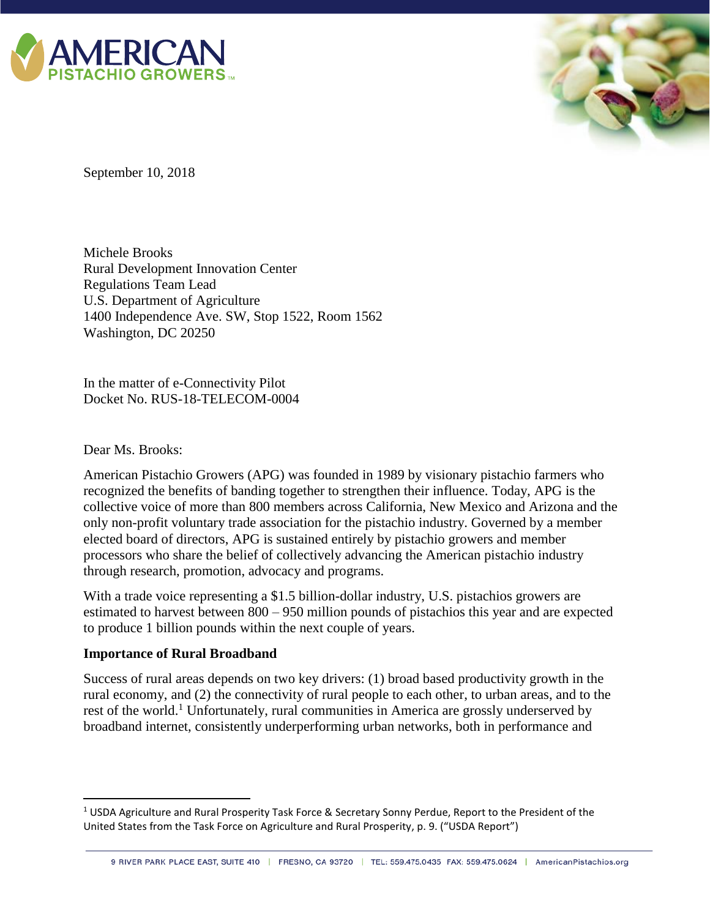



September 10, 2018

Michele Brooks Rural Development Innovation Center Regulations Team Lead U.S. Department of Agriculture 1400 Independence Ave. SW, Stop 1522, Room 1562 Washington, DC 20250

In the matter of e-Connectivity Pilot Docket No. RUS-18-TELECOM-0004

Dear Ms. Brooks:

 $\overline{a}$ 

American Pistachio Growers (APG) was founded in 1989 by visionary pistachio farmers who recognized the benefits of banding together to strengthen their influence. Today, APG is the collective voice of more than 800 members across California, New Mexico and Arizona and the only non-profit voluntary trade association for the pistachio industry. Governed by a member elected board of directors, APG is sustained entirely by pistachio growers and member processors who share the belief of collectively advancing the American pistachio industry through research, promotion, advocacy and programs.

With a trade voice representing a \$1.5 billion-dollar industry, U.S. pistachios growers are estimated to harvest between 800 – 950 million pounds of pistachios this year and are expected to produce 1 billion pounds within the next couple of years.

### **Importance of Rural Broadband**

Success of rural areas depends on two key drivers: (1) broad based productivity growth in the rural economy, and (2) the connectivity of rural people to each other, to urban areas, and to the rest of the world.<sup>1</sup> Unfortunately, rural communities in America are grossly underserved by broadband internet, consistently underperforming urban networks, both in performance and

<sup>1</sup> USDA Agriculture and Rural Prosperity Task Force & Secretary Sonny Perdue, Report to the President of the United States from the Task Force on Agriculture and Rural Prosperity, p. 9. ("USDA Report")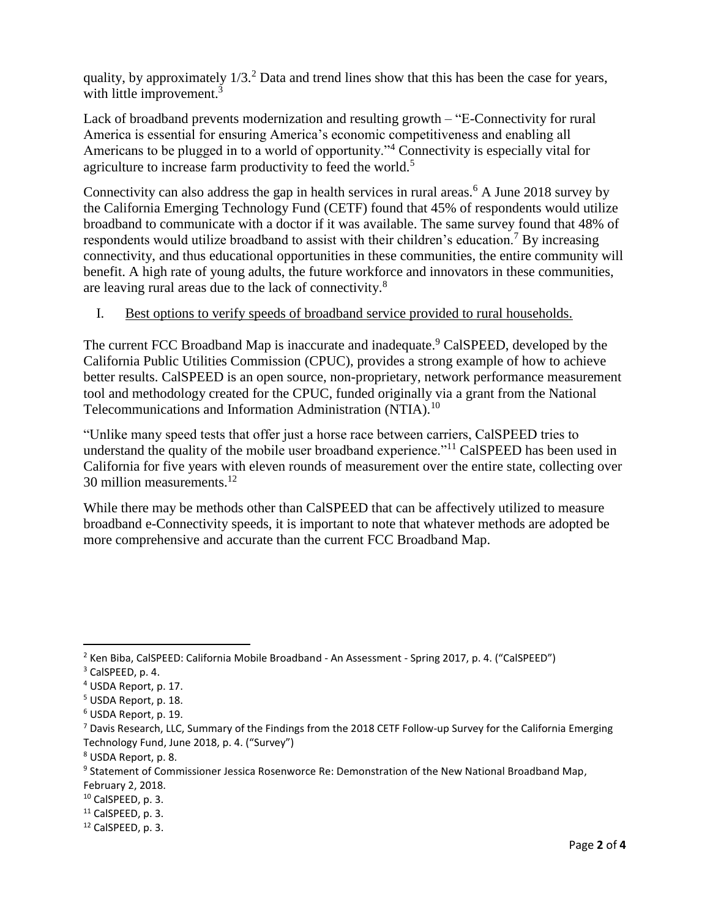quality, by approximately  $1/3$ <sup>2</sup> Data and trend lines show that this has been the case for years, with little improvement.<sup>3</sup>

Lack of broadband prevents modernization and resulting growth – "E-Connectivity for rural America is essential for ensuring America's economic competitiveness and enabling all Americans to be plugged in to a world of opportunity."<sup>4</sup> Connectivity is especially vital for agriculture to increase farm productivity to feed the world.<sup>5</sup>

Connectivity can also address the gap in health services in rural areas.<sup>6</sup> A June 2018 survey by the California Emerging Technology Fund (CETF) found that 45% of respondents would utilize broadband to communicate with a doctor if it was available. The same survey found that 48% of respondents would utilize broadband to assist with their children's education.<sup>7</sup> By increasing connectivity, and thus educational opportunities in these communities, the entire community will benefit. A high rate of young adults, the future workforce and innovators in these communities, are leaving rural areas due to the lack of connectivity.<sup>8</sup>

### I. Best options to verify speeds of broadband service provided to rural households.

The current FCC Broadband Map is inaccurate and inadequate.<sup>9</sup> CalSPEED, developed by the California Public Utilities Commission (CPUC), provides a strong example of how to achieve better results. CalSPEED is an open source, non-proprietary, network performance measurement tool and methodology created for the CPUC, funded originally via a grant from the National Telecommunications and Information Administration (NTIA).<sup>10</sup>

"Unlike many speed tests that offer just a horse race between carriers, CalSPEED tries to understand the quality of the mobile user broadband experience."<sup>11</sup> CalSPEED has been used in California for five years with eleven rounds of measurement over the entire state, collecting over 30 million measurements. $12$ 

While there may be methods other than CalSPEED that can be affectively utilized to measure broadband e-Connectivity speeds, it is important to note that whatever methods are adopted be more comprehensive and accurate than the current FCC Broadband Map.

 $\overline{a}$ 

<sup>&</sup>lt;sup>2</sup> Ken Biba, CalSPEED: California Mobile Broadband - An Assessment - Spring 2017, p. 4. ("CalSPEED")

<sup>3</sup> CalSPEED, p. 4.

<sup>4</sup> USDA Report, p. 17.

<sup>5</sup> USDA Report, p. 18.

<sup>6</sup> USDA Report, p. 19.

<sup>7</sup> Davis Research, LLC, Summary of the Findings from the 2018 CETF Follow-up Survey for the California Emerging Technology Fund, June 2018, p. 4. ("Survey")

<sup>8</sup> USDA Report, p. 8.

<sup>&</sup>lt;sup>9</sup> Statement of Commissioner Jessica Rosenworce Re: Demonstration of the New National Broadband Map,

February 2, 2018.

<sup>10</sup> CalSPEED, p. 3.

 $11$  CalSPEED, p. 3.

<sup>12</sup> CalSPEED, p. 3.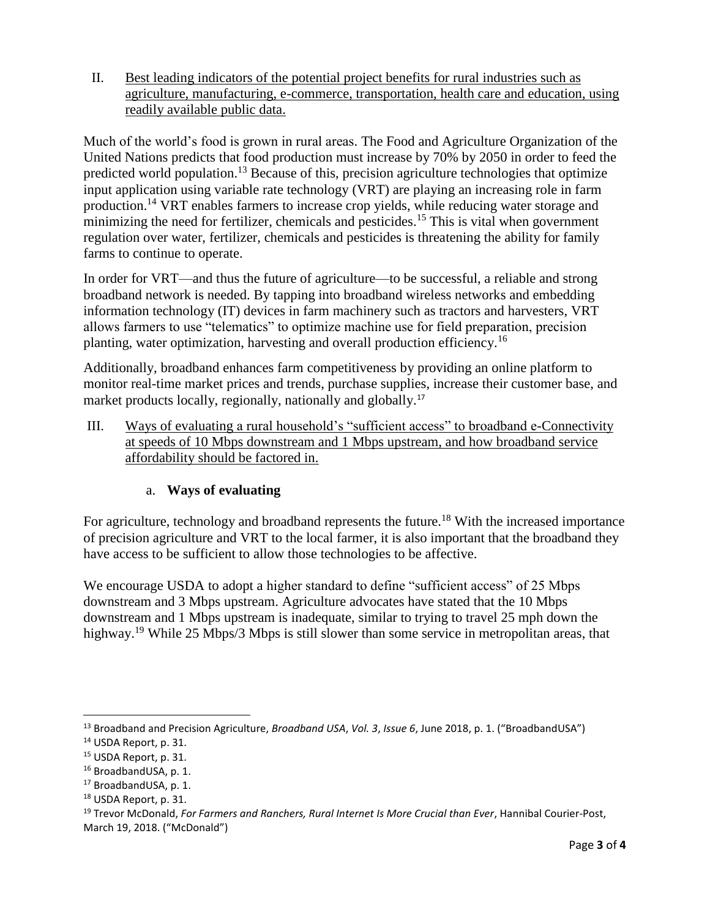II. Best leading indicators of the potential project benefits for rural industries such as agriculture, manufacturing, e-commerce, transportation, health care and education, using readily available public data.

Much of the world's food is grown in rural areas. The Food and Agriculture Organization of the United Nations predicts that food production must increase by 70% by 2050 in order to feed the predicted world population.<sup>13</sup> Because of this, precision agriculture technologies that optimize input application using variable rate technology (VRT) are playing an increasing role in farm production.<sup>14</sup> VRT enables farmers to increase crop yields, while reducing water storage and minimizing the need for fertilizer, chemicals and pesticides.<sup>15</sup> This is vital when government regulation over water, fertilizer, chemicals and pesticides is threatening the ability for family farms to continue to operate.

In order for VRT—and thus the future of agriculture—to be successful, a reliable and strong broadband network is needed. By tapping into broadband wireless networks and embedding information technology (IT) devices in farm machinery such as tractors and harvesters, VRT allows farmers to use "telematics" to optimize machine use for field preparation, precision planting, water optimization, harvesting and overall production efficiency.<sup>16</sup>

Additionally, broadband enhances farm competitiveness by providing an online platform to monitor real-time market prices and trends, purchase supplies, increase their customer base, and market products locally, regionally, nationally and globally.<sup>17</sup>

III. Ways of evaluating a rural household's "sufficient access" to broadband e-Connectivity at speeds of 10 Mbps downstream and 1 Mbps upstream, and how broadband service affordability should be factored in.

# a. **Ways of evaluating**

For agriculture, technology and broadband represents the future.<sup>18</sup> With the increased importance of precision agriculture and VRT to the local farmer, it is also important that the broadband they have access to be sufficient to allow those technologies to be affective.

We encourage USDA to adopt a higher standard to define "sufficient access" of 25 Mbps downstream and 3 Mbps upstream. Agriculture advocates have stated that the 10 Mbps downstream and 1 Mbps upstream is inadequate, similar to trying to travel 25 mph down the highway.<sup>19</sup> While 25 Mbps/3 Mbps is still slower than some service in metropolitan areas, that

 $\overline{\phantom{a}}$ 

<sup>13</sup> Broadband and Precision Agriculture, *Broadband USA*, *Vol. 3*, *Issue 6*, June 2018, p. 1. ("BroadbandUSA")

<sup>14</sup> USDA Report, p. 31.

<sup>15</sup> USDA Report, p. 31.

<sup>16</sup> BroadbandUSA, p. 1.

<sup>17</sup> BroadbandUSA, p. 1.

<sup>18</sup> USDA Report, p. 31.

<sup>19</sup> Trevor McDonald, *For Farmers and Ranchers, Rural Internet Is More Crucial than Ever*, Hannibal Courier-Post, March 19, 2018. ("McDonald")